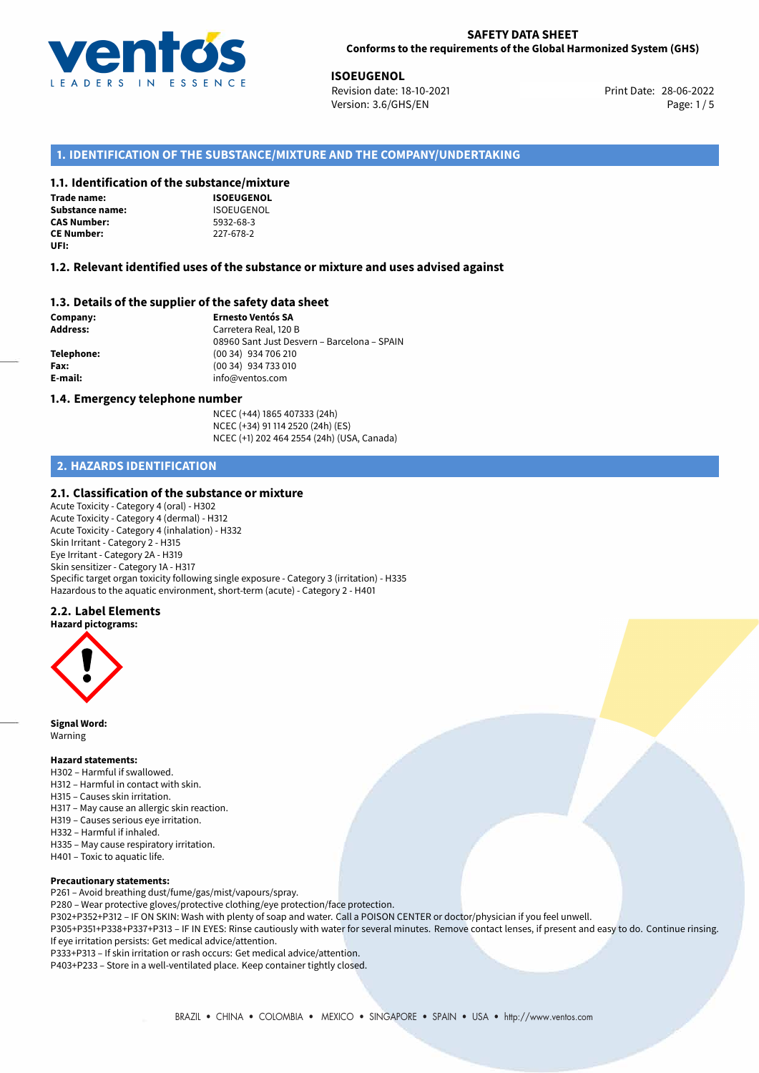

**ISOEUGENOL**<br>28-06-2022 **ISOE** Revision date: 18-10-2021 Version: 3.6/GHS/EN Page: 1/5

## **1. IDENTIFICATION OF THE SUBSTANCE/MIXTURE AND THE COMPANY/UNDERTAKING**

## **1.1. Identification of the substance/mixture**

| <b>Trade name:</b>     |
|------------------------|
| <b>Substance name:</b> |
| <b>CAS Number:</b>     |
| <b>CE Number:</b>      |
| UFI:                   |

**ISOEUGENOL Substance name:** ISOEUGENOL **CAS Number:** 5932-68-3 **CE Number:** 227-678-2

## **1.2. Relevant identified uses of the substance or mixture and uses advised against**

## **1.3. Details of the supplier of the safety data sheet**

**Company: Ernesto Ventós SA Address:** Carretera Real, 120 B 08960 Sant Just Desvern – Barcelona – SPAIN **Telephone:** (00 34) 934 706 210 **Fax:** (00 34) 934 733 010 **E-mail:** info@ventos.com

#### **1.4. Emergency telephone number**

NCEC (+44) 1865 407333 (24h) NCEC (+34) 91 114 2520 (24h) (ES) NCEC (+1) 202 464 2554 (24h) (USA, Canada)

## **2. HAZARDS IDENTIFICATION**

#### **2.1. Classification of the substance or mixture**

Acute Toxicity - Category 4 (oral) - H302 Acute Toxicity - Category 4 (dermal) - H312 Acute Toxicity - Category 4 (inhalation) - H332 Skin Irritant - Category 2 - H315 Eye Irritant - Category 2A - H319 Skin sensitizer - Category 1A - H317 Specific target organ toxicity following single exposure - Category 3 (irritation) - H335 Hazardous to the aquatic environment, short-term (acute) - Category 2 - H401

## **2.2. Label Elements**

#### **Hazard pictograms:**



**Signal Word:** Warning

### **Hazard statements:**

- H302 Harmful if swallowed.
- H312 Harmful in contact with skin.
- H315 Causes skin irritation.
- H317 May cause an allergic skin reaction.
- H319 Causes serious eye irritation.
- H332 Harmful if inhaled.
- H335 May cause respiratory irritation.
- H401 Toxic to aquatic life.

#### **Precautionary statements:**

P261 – Avoid breathing dust/fume/gas/mist/vapours/spray.

P280 – Wear protective gloves/protective clothing/eye protection/face protection.

P302+P352+P312 – IF ON SKIN: Wash with plenty of soap and water. Call a POISON CENTER or doctor/physician if you feel unwell.

P305+P351+P338+P337+P313 – IF IN EYES: Rinse cautiously with water for several minutes. Remove contact lenses, if present and easy to do. Continue rinsing. If eye irritation persists: Get medical advice/attention.

P333+P313 – If skin irritation or rash occurs: Get medical advice/attention.

P403+P233 – Store in a well-ventilated place. Keep container tightly closed.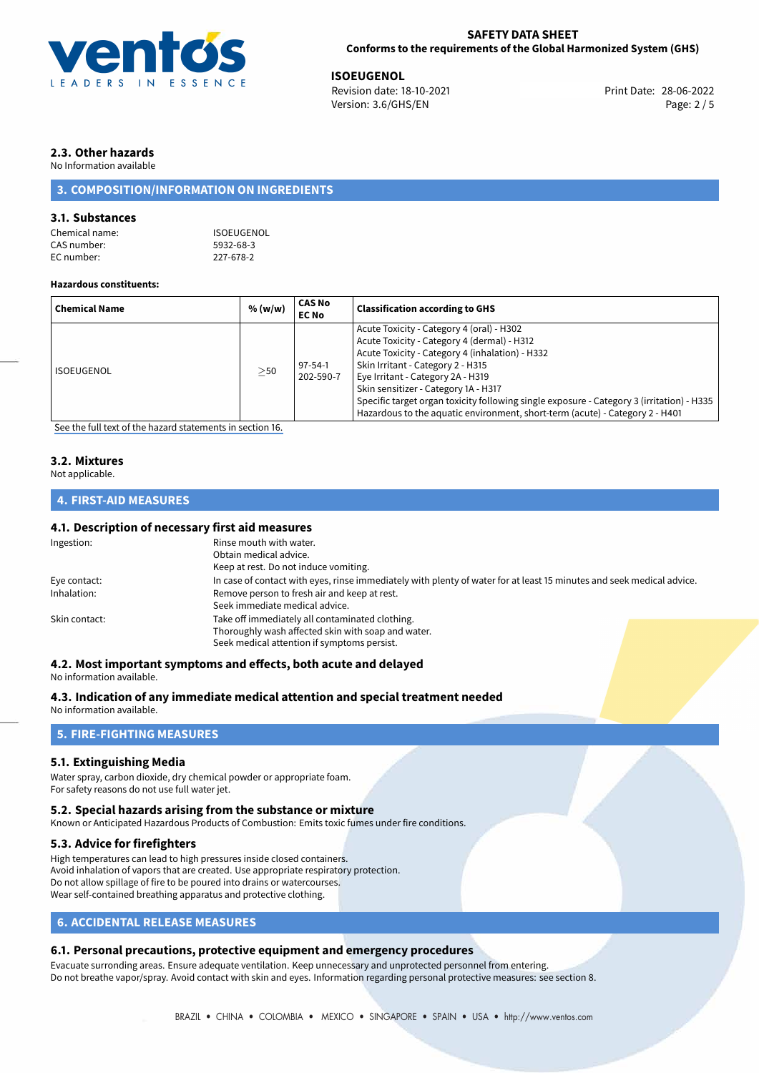

**ISOEUGENOL**<br>
Revision date: 18-10-2021 **Print Date: 28-06-2022** Version: 3.6/GHS/EN Page: 2 / 5

# **2.3. Other hazards**

No Information available

## **3. COMPOSITION/INFORMATION ON INGREDIENTS**

## **3.1. Substances**

| Chemical name: | ISOEUGENOL |
|----------------|------------|
| CAS number:    | 5932-68-3  |
| EC number:     | 227-678-2  |

#### **Hazardous constituents:**

| <b>Chemical Name</b> | % (w/w)   | CAS No<br><b>EC No</b>     | <b>Classification according to GHS</b>                                                                                                                                                                                                                                                                                                                                                                                                     |
|----------------------|-----------|----------------------------|--------------------------------------------------------------------------------------------------------------------------------------------------------------------------------------------------------------------------------------------------------------------------------------------------------------------------------------------------------------------------------------------------------------------------------------------|
| ISOEUGENOL           | $\geq$ 50 | $97 - 54 - 1$<br>202-590-7 | Acute Toxicity - Category 4 (oral) - H302<br>Acute Toxicity - Category 4 (dermal) - H312<br>Acute Toxicity - Category 4 (inhalation) - H332<br>Skin Irritant - Category 2 - H315<br>Eye Irritant - Category 2A - H319<br>Skin sensitizer - Category 1A - H317<br>Specific target organ toxicity following single exposure - Category 3 (irritation) - H335<br>Hazardous to the aquatic environment, short-term (acute) - Category 2 - H401 |

[See the full text of the hazard statements in section 16.](#page-4-0)

## **3.2. Mixtures**

Not applicable.

## **4. FIRST-AID MEASURES**

## **4.1. Description of necessary first aid measures**

| Ingestion:    | Rinse mouth with water.                                                                                                                              |  |
|---------------|------------------------------------------------------------------------------------------------------------------------------------------------------|--|
|               | Obtain medical advice.                                                                                                                               |  |
|               | Keep at rest. Do not induce vomiting.                                                                                                                |  |
| Eye contact:  | In case of contact with eyes, rinse immediately with plenty of water for at least 15 minutes and seek medical advice.                                |  |
| Inhalation:   | Remove person to fresh air and keep at rest.<br>Seek immediate medical advice.                                                                       |  |
| Skin contact: | Take off immediately all contaminated clothing.<br>Thoroughly wash affected skin with soap and water.<br>Seek medical attention if symptoms persist. |  |

## **4.2. Most important symptoms and effects, both acute and delayed**

No information available.

**4.3. Indication of any immediate medical attention and special treatment needed**

No information available.

# **5. FIRE-FIGHTING MEASURES**

## **5.1. Extinguishing Media**

Water spray, carbon dioxide, dry chemical powder or appropriate foam. For safety reasons do not use full water jet.

## **5.2. Special hazards arising from the substance or mixture**

Known or Anticipated Hazardous Products of Combustion: Emits toxic fumes under fire conditions.

## **5.3. Advice for firefighters**

High temperatures can lead to high pressures inside closed containers. Avoid inhalation of vapors that are created. Use appropriate respiratory protection. Do not allow spillage of fire to be poured into drains or watercourses. Wear self-contained breathing apparatus and protective clothing.

## **6. ACCIDENTAL RELEASE MEASURES**

## **6.1. Personal precautions, protective equipment and emergency procedures**

Evacuate surronding areas. Ensure adequate ventilation. Keep unnecessary and unprotected personnel from entering. Do not breathe vapor/spray. Avoid contact with skin and eyes. Information regarding personal protective measures: see section 8.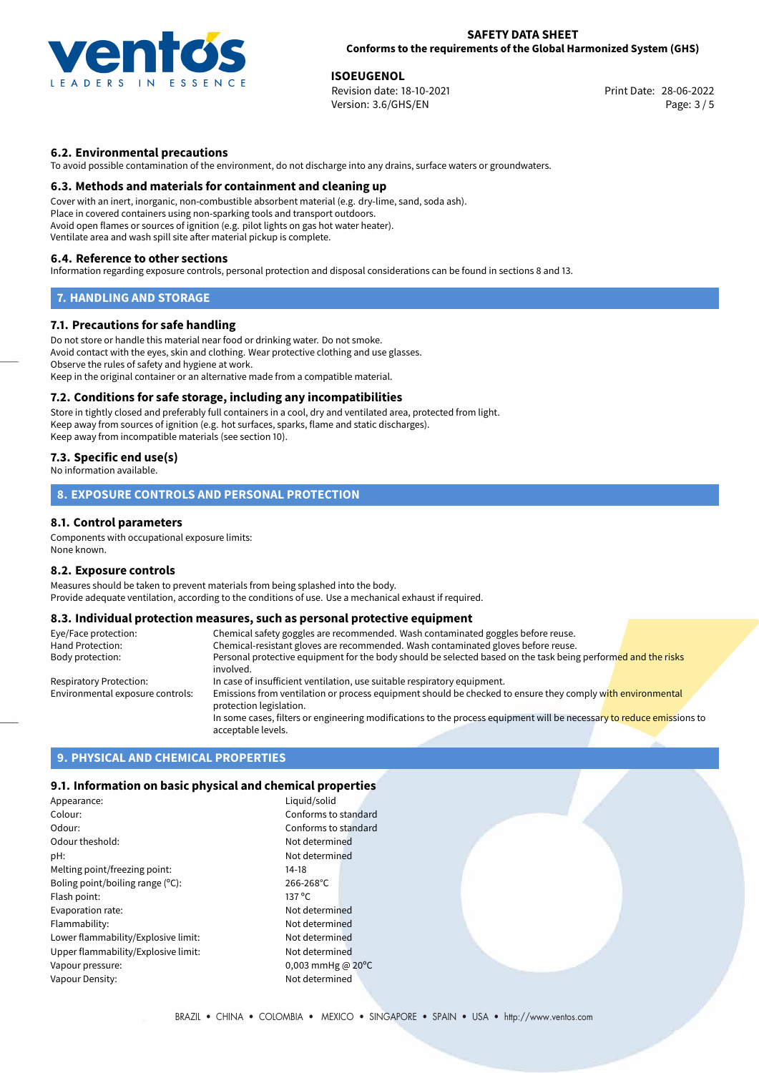

**ISOEUGENOL**<br>
Revision date: 18-10-2021 **Print Date: 28-06-2022** Version: 3.6/GHS/EN Page: 3 / 5

## **6.2. Environmental precautions**

To avoid possible contamination of the environment, do not discharge into any drains, surface waters or groundwaters.

### **6.3. Methods and materials for containment and cleaning up**

Cover with an inert, inorganic, non-combustible absorbent material (e.g. dry-lime, sand, soda ash). Place in covered containers using non-sparking tools and transport outdoors. Avoid open flames or sources of ignition (e.g. pilot lights on gas hot water heater). Ventilate area and wash spill site after material pickup is complete.

### **6.4. Reference to other sections**

Information regarding exposure controls, personal protection and disposal considerations can be found in sections 8 and 13.

## **7. HANDLING AND STORAGE**

## **7.1. Precautions for safe handling**

Do not store or handle this material near food or drinking water. Do not smoke. Avoid contact with the eyes, skin and clothing. Wear protective clothing and use glasses. Observe the rules of safety and hygiene at work. Keep in the original container or an alternative made from a compatible material.

## **7.2. Conditions for safe storage, including any incompatibilities**

Store in tightly closed and preferably full containers in a cool, dry and ventilated area, protected from light. Keep away from sources of ignition (e.g. hot surfaces, sparks, flame and static discharges). Keep away from incompatible materials (see section 10).

## **7.3. Specific end use(s)**

No information available.

# **8. EXPOSURE CONTROLS AND PERSONAL PROTECTION**

## **8.1. Control parameters**

Components with occupational exposure limits: None known.

#### **8.2. Exposure controls**

Measures should be taken to prevent materials from being splashed into the body. Provide adequate ventilation, according to the conditions of use. Use a mechanical exhaust if required.

# **8.3. Individual protection measures, such as personal protective equipment**

| Eye/Face protection:             | Chemical safety goggles are recommended. Wash contaminated goggles before reuse.                                                            |
|----------------------------------|---------------------------------------------------------------------------------------------------------------------------------------------|
| Hand Protection:                 | Chemical-resistant gloves are recommended. Wash contaminated gloves before reuse.                                                           |
| Body protection:                 | Personal protective equipment for the body should be selected based on the task being performed and the risks<br>involved.                  |
| Respiratory Protection:          | In case of insufficient ventilation, use suitable respiratory equipment.                                                                    |
| Environmental exposure controls: | Emissions from ventilation or process equipment should be checked to ensure they comply with environmental<br>protection legislation.       |
|                                  | In some cases, filters or engineering modifications to the process equipment will be necessary to reduce emissions to<br>acceptable levels. |

## **9. PHYSICAL AND CHEMICAL PROPERTIES**

#### **9.1. Information on basic physical and chemical properties**

| Appearance:                         | Liguic          |
|-------------------------------------|-----------------|
| Colour:                             | Confo           |
| Odour:                              | Confo           |
| Odour theshold:                     | Not d           |
| pH:                                 | Not d           |
| Melting point/freezing point:       | $14-18$         |
| Boling point/boiling range (°C):    | 266-2           |
| Flash point:                        | $137^{\circ}$ C |
| Evaporation rate:                   | Not d           |
| Flammability:                       | Not d           |
| Lower flammability/Explosive limit: | Not d           |
| Upper flammability/Explosive limit: | Not de          |
| Vapour pressure:                    | 0.003           |
| Vapour Density:                     | Not d           |

Liquid/solid Conforms to standard Conforms to standard Not determined Not determined  $266-268$ °C Not determined Not determined Not determined Not determined 0,003 mmHg @ 20°C Not determined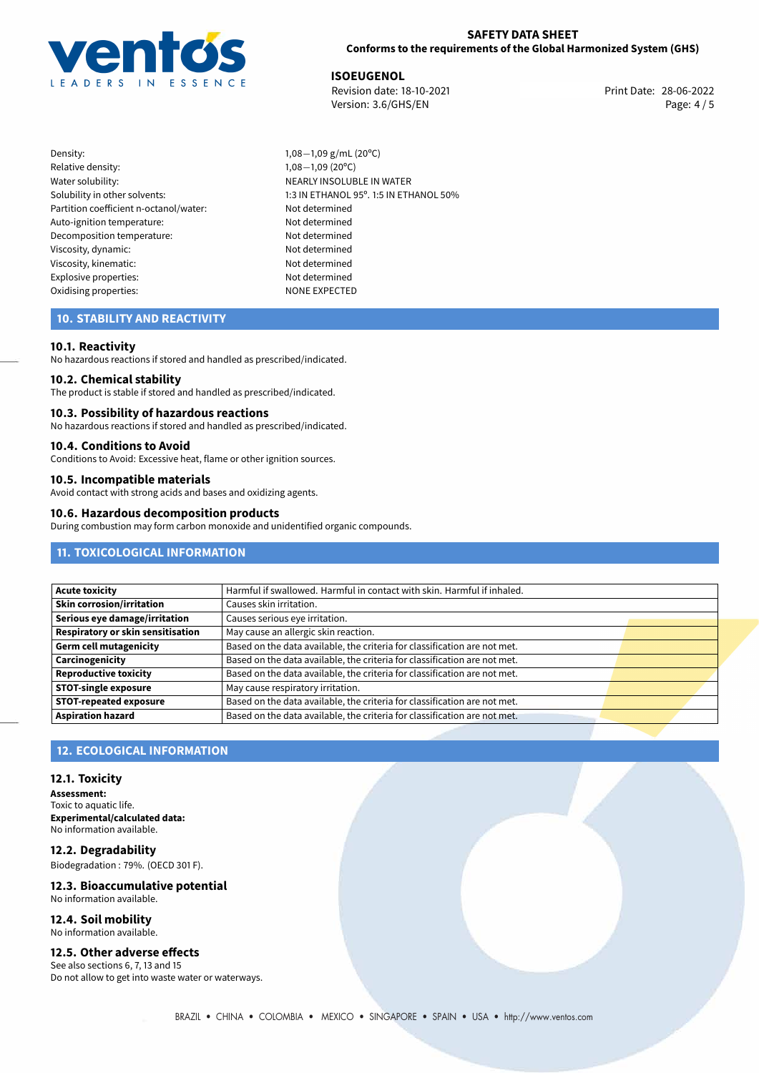

**ISOEUGENOL**<br>
Revision date: 18-10-2021 **Print Date: 28-06-2022** Version: 3.6/GHS/EN Page: 4/5

Density: 1,08−1,09 g/mL (20°C)<br>Relative density: 1,08−1,09 (20°C) Relative density: 1,08−1,09 (20°C)<br>Water solubility: 1,08−1,09 (20°C) Partition coefficient n-octanol/water: Not determined Auto-ignition temperature: Not determined Decomposition temperature: Not determined Viscosity, dynamic: Not determined Viscosity, kinematic: Not determined Explosive properties: Not determined Oxidising properties: NONE EXPECTED

NEARLY INSOLUBLE IN WATER Solubility in other solvents: 1:3 IN ETHANOL 95°. 1:5 IN ETHANOL 50%

## **10. STABILITY AND REACTIVITY**

## **10.1. Reactivity**

No hazardous reactions if stored and handled as prescribed/indicated.

## **10.2. Chemical stability**

The product is stable if stored and handled as prescribed/indicated.

#### **10.3. Possibility of hazardous reactions**

No hazardous reactions if stored and handled as prescribed/indicated.

## **10.4. Conditions to Avoid**

Conditions to Avoid: Excessive heat, flame or other ignition sources.

# **10.5. Incompatible materials**

Avoid contact with strong acids and bases and oxidizing agents.

#### **10.6. Hazardous decomposition products**

During combustion may form carbon monoxide and unidentified organic compounds.

## **11. TOXICOLOGICAL INFORMATION**

| Harmful if swallowed. Harmful in contact with skin. Harmful if inhaled.   |                                      |
|---------------------------------------------------------------------------|--------------------------------------|
| Causes skin irritation.                                                   |                                      |
| Causes serious eye irritation.                                            |                                      |
|                                                                           |                                      |
| Based on the data available, the criteria for classification are not met. |                                      |
| Based on the data available, the criteria for classification are not met. |                                      |
| Based on the data available, the criteria for classification are not met. |                                      |
| May cause respiratory irritation.                                         |                                      |
| Based on the data available, the criteria for classification are not met. |                                      |
| Based on the data available, the criteria for classification are not met. |                                      |
|                                                                           | May cause an allergic skin reaction. |

## **12. ECOLOGICAL INFORMATION**

#### **12.1. Toxicity**

**Assessment:** Toxic to aquatic life. **Experimental/calculated data:** No information available.

**12.2. Degradability** Biodegradation : 79%. (OECD 301 F).

#### **12.3. Bioaccumulative potential** No information available.

**12.4. Soil mobility** No information available.

## **12.5. Other adverse effects**

See also sections 6, 7, 13 and 15 Do not allow to get into waste water or waterways.